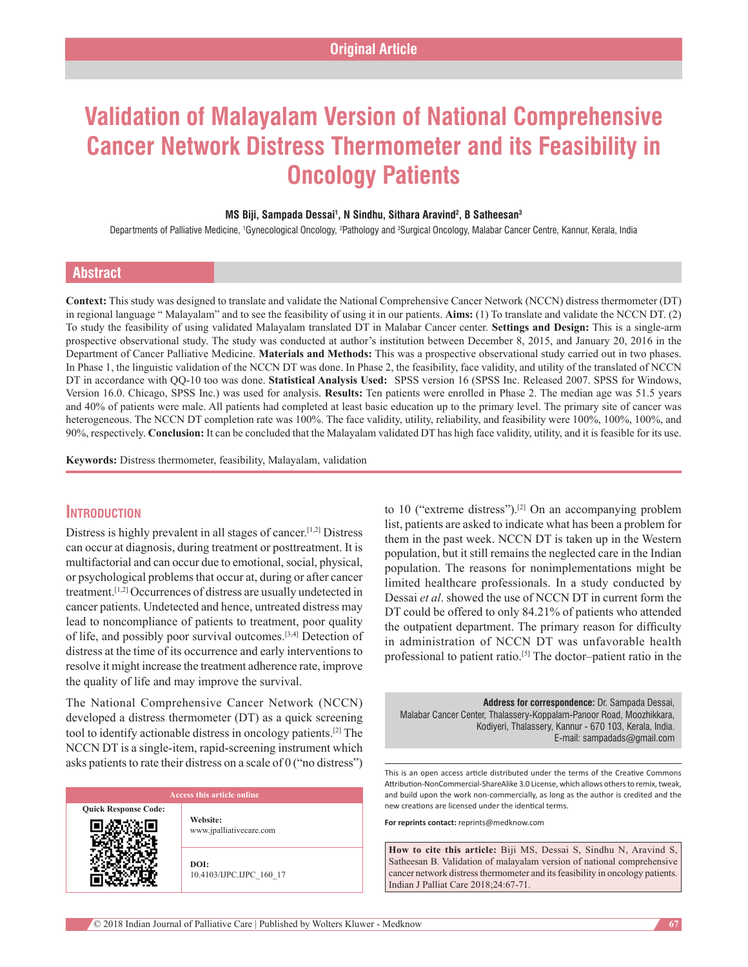# **Validation of Malayalam Version of National Comprehensive Cancer Network Distress Thermometer and its Feasibility in Oncology Patients**

#### **MS Biji, Sampada Dessai1 , N Sindhu, Sithara Aravind2 , B Satheesan3**

Departments of Palliative Medicine, 'Gynecological Oncology, <sup>2</sup>Pathology and <sup>3</sup>Surgical Oncology, Malabar Cancer Centre, Kannur, Kerala, India

# **Abstract**

**Context:** This study was designed to translate and validate the National Comprehensive Cancer Network (NCCN) distress thermometer (DT) in regional language " Malayalam" and to see the feasibility of using it in our patients. **Aims:** (1) To translate and validate the NCCN DT. (2) To study the feasibility of using validated Malayalam translated DT in Malabar Cancer center. **Settings and Design:** This is a single‑arm prospective observational study. The study was conducted at author's institution between December 8, 2015, and January 20, 2016 in the Department of Cancer Palliative Medicine. **Materials and Methods:** This was a prospective observational study carried out in two phases. In Phase 1, the linguistic validation of the NCCN DT was done. In Phase 2, the feasibility, face validity, and utility of the translated of NCCN DT in accordance with QQ‑10 too was done. **Statistical Analysis Used:**   SPSS version 16 (SPSS Inc. Released 2007. SPSS for Windows, Version 16.0. Chicago, SPSS Inc.) was used for analysis. **Results:** Ten patients were enrolled in Phase 2. The median age was 51.5 years and 40% of patients were male. All patients had completed at least basic education up to the primary level. The primary site of cancer was heterogeneous. The NCCN DT completion rate was 100%. The face validity, utility, reliability, and feasibility were 100%, 100%, 100%, and 90%, respectively. **Conclusion:** It can be concluded that the Malayalam validated DT has high face validity, utility, and it is feasible for its use.

**Keywords:** Distress thermometer, feasibility, Malayalam, validation

# **Introduction**

Distress is highly prevalent in all stages of cancer.[1,2] Distress can occur at diagnosis, during treatment or posttreatment. It is multifactorial and can occur due to emotional, social, physical, or psychological problems that occur at, during or after cancer treatment.[1,2] Occurrences of distress are usually undetected in cancer patients. Undetected and hence, untreated distress may lead to noncompliance of patients to treatment, poor quality of life, and possibly poor survival outcomes.[3,4] Detection of distress at the time of its occurrence and early interventions to resolve it might increase the treatment adherence rate, improve the quality of life and may improve the survival.

The National Comprehensive Cancer Network (NCCN) developed a distress thermometer (DT) as a quick screening tool to identify actionable distress in oncology patients.[2] The NCCN DT is a single-item, rapid-screening instrument which asks patients to rate their distress on a scale of 0 ("no distress")

**Quick Response Code:**

**Website:** www.jpalliativecare.com

**DOI:** 10.4103/IJPC.IJPC\_160\_17 to 10 ("extreme distress").<sup>[2]</sup> On an accompanying problem list, patients are asked to indicate what has been a problem for them in the past week. NCCN DT is taken up in the Western population, but it still remains the neglected care in the Indian population. The reasons for nonimplementations might be limited healthcare professionals. In a study conducted by Dessai *et al*. showed the use of NCCN DT in current form the DT could be offered to only 84.21% of patients who attended the outpatient department. The primary reason for difficulty in administration of NCCN DT was unfavorable health professional to patient ratio.<sup>[5]</sup> The doctor-patient ratio in the

**Address for correspondence:** Dr. Sampada Dessai, Malabar Cancer Center, Thalassery‑Koppalam‑Panoor Road, Moozhikkara, Kodiyeri, Thalassery, Kannur ‑ 670 103, Kerala, India. E‑mail: sampadads@gmail.com

This is an open access article distributed under the terms of the Creative Commons Attribution‑NonCommercial‑ShareAlike 3.0 License, which allows others to remix, tweak, and build upon the work non-commercially, as long as the author is credited and the new creations are licensed under the identical terms.

**For reprints contact:** reprints@medknow.com

**How to cite this article:** Biji MS, Dessai S, Sindhu N, Aravind S, Satheesan B. Validation of malayalam version of national comprehensive cancer network distress thermometer and its feasibility in oncology patients. Indian J Palliat Care 2018;24:67-71.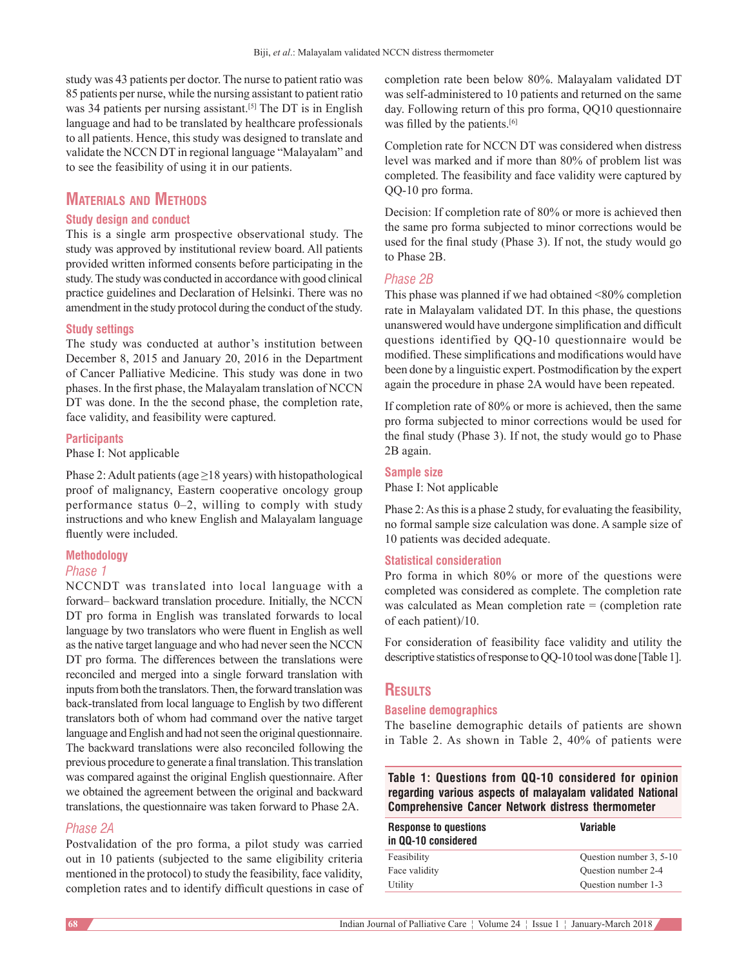study was 43 patients per doctor. The nurse to patient ratio was 85 patients per nurse, while the nursing assistant to patient ratio was 34 patients per nursing assistant.<sup>[5]</sup> The DT is in English language and had to be translated by healthcare professionals to all patients. Hence, this study was designed to translate and validate the NCCN DT in regional language "Malayalam" and to see the feasibility of using it in our patients.

# **Materials and Methods**

## **Study design and conduct**

This is a single arm prospective observational study. The study was approved by institutional review board. All patients provided written informed consents before participating in the study. The study was conducted in accordance with good clinical practice guidelines and Declaration of Helsinki. There was no amendment in the study protocol during the conduct of the study.

#### **Study settings**

The study was conducted at author's institution between December 8, 2015 and January 20, 2016 in the Department of Cancer Palliative Medicine. This study was done in two phases. In the first phase, the Malayalam translation of NCCN DT was done. In the the second phase, the completion rate, face validity, and feasibility were captured.

#### **Participants**

Phase I: Not applicable

Phase 2: Adult patients (age  $\geq$ 18 years) with histopathological proof of malignancy, Eastern cooperative oncology group performance status 0–2, willing to comply with study instructions and who knew English and Malayalam language fluently were included.

#### **Methodology**

#### *Phase 1*

NCCNDT was translated into local language with a forward– backward translation procedure. Initially, the NCCN DT pro forma in English was translated forwards to local language by two translators who were fluent in English as well as the native target language and who had never seen the NCCN DT pro forma. The differences between the translations were reconciled and merged into a single forward translation with inputs from both the translators. Then, the forward translation was back‑translated from local language to English by two different translators both of whom had command over the native target language and English and had not seen the original questionnaire. The backward translations were also reconciled following the previous procedure to generate a final translation. This translation was compared against the original English questionnaire. After we obtained the agreement between the original and backward translations, the questionnaire was taken forward to Phase 2A.

#### *Phase 2A*

Postvalidation of the pro forma, a pilot study was carried out in 10 patients (subjected to the same eligibility criteria mentioned in the protocol) to study the feasibility, face validity, completion rates and to identify difficult questions in case of completion rate been below 80%. Malayalam validated DT was self-administered to 10 patients and returned on the same day. Following return of this pro forma, QQ10 questionnaire was filled by the patients.<sup>[6]</sup>

Completion rate for NCCN DT was considered when distress level was marked and if more than 80% of problem list was completed. The feasibility and face validity were captured by QQ‑10 pro forma.

Decision: If completion rate of 80% or more is achieved then the same pro forma subjected to minor corrections would be used for the final study (Phase 3). If not, the study would go to Phase 2B.

## *Phase 2B*

This phase was planned if we had obtained <80% completion rate in Malayalam validated DT. In this phase, the questions unanswered would have undergone simplification and difficult questions identified by QQ-10 questionnaire would be modified. These simplifications and modifications would have been done by a linguistic expert. Postmodification by the expert again the procedure in phase 2A would have been repeated.

If completion rate of 80% or more is achieved, then the same pro forma subjected to minor corrections would be used for the final study (Phase 3). If not, the study would go to Phase 2B again.

#### **Sample size**

Phase I: Not applicable

Phase 2: As this is a phase 2 study, for evaluating the feasibility, no formal sample size calculation was done. A sample size of 10 patients was decided adequate.

#### **Statistical consideration**

Pro forma in which 80% or more of the questions were completed was considered as complete. The completion rate was calculated as Mean completion rate = (completion rate of each patient)/10.

For consideration of feasibility face validity and utility the descriptive statistics of response to QQ-10 tool was done [Table 1].

# **Results**

#### **Baseline demographics**

The baseline demographic details of patients are shown in Table 2. As shown in Table 2, 40% of patients were

**Table 1: Questions from QQ-10 considered for opinion regarding various aspects of malayalam validated National Comprehensive Cancer Network distress thermometer**

| <b>Response to questions</b><br>in QQ-10 considered | Variable                |  |
|-----------------------------------------------------|-------------------------|--|
| Feasibility                                         | Question number 3, 5-10 |  |
| Face validity                                       | Ouestion number 2-4     |  |
| Utility                                             | Ouestion number 1-3     |  |
|                                                     |                         |  |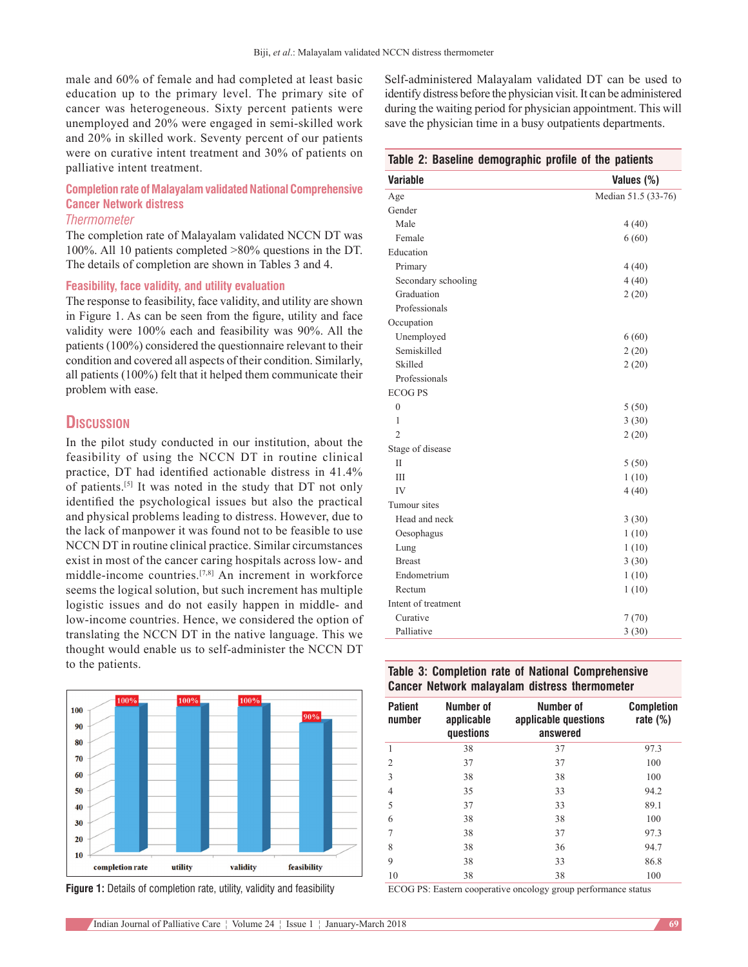male and 60% of female and had completed at least basic education up to the primary level. The primary site of cancer was heterogeneous. Sixty percent patients were unemployed and 20% were engaged in semi‑skilled work and 20% in skilled work. Seventy percent of our patients were on curative intent treatment and 30% of patients on palliative intent treatment.

# **Completion rate of Malayalam validated National Comprehensive Cancer Network distress**

#### *Thermometer*

The completion rate of Malayalam validated NCCN DT was 100%. All 10 patients completed >80% questions in the DT. The details of completion are shown in Tables 3 and 4.

#### **Feasibility, face validity, and utility evaluation**

The response to feasibility, face validity, and utility are shown in Figure 1. As can be seen from the figure, utility and face validity were 100% each and feasibility was 90%. All the patients (100%) considered the questionnaire relevant to their condition and covered all aspects of their condition. Similarly, all patients (100%) felt that it helped them communicate their problem with ease.

# **Discussion**

In the pilot study conducted in our institution, about the feasibility of using the NCCN DT in routine clinical practice, DT had identified actionable distress in 41.4% of patients.[5] It was noted in the study that DT not only identified the psychological issues but also the practical and physical problems leading to distress. However, due to the lack of manpower it was found not to be feasible to use NCCN DT in routine clinical practice. Similar circumstances exist in most of the cancer caring hospitals across low‑ and middle‑income countries.[7,8] An increment in workforce seems the logical solution, but such increment has multiple logistic issues and do not easily happen in middle- and low‑income countries. Hence, we considered the option of translating the NCCN DT in the native language. This we thought would enable us to self‑administer the NCCN DT to the patients.





Self-administered Malayalam validated DT can be used to identify distress before the physician visit. It can be administered during the waiting period for physician appointment. This will save the physician time in a busy outpatients departments.

#### **Table 2: Baseline demographic profile of the patients**

| <b>Variable</b>     | Values (%)          |
|---------------------|---------------------|
| Age                 | Median 51.5 (33-76) |
| Gender              |                     |
| Male                | 4(40)               |
| Female              | 6(60)               |
| Education           |                     |
| Primary             | 4(40)               |
| Secondary schooling | 4(40)               |
| Graduation          | 2(20)               |
| Professionals       |                     |
| Occupation          |                     |
| Unemployed          | 6(60)               |
| Semiskilled         | 2(20)               |
| Skilled             | 2(20)               |
| Professionals       |                     |
| <b>ECOGPS</b>       |                     |
| $\mathbf{0}$        | 5(50)               |
| 1                   | 3(30)               |
| $\overline{2}$      | 2(20)               |
| Stage of disease    |                     |
| H                   | 5(50)               |
| Ш                   | 1(10)               |
| IV                  | 4(40)               |
| Tumour sites        |                     |
| Head and neck       | 3(30)               |
| Oesophagus          | 1(10)               |
| Lung                | 1(10)               |
| <b>Breast</b>       | 3(30)               |
| Endometrium         | 1(10)               |
| Rectum              | 1(10)               |
| Intent of treatment |                     |
| Curative            | 7(70)               |
| Palliative          | 3(30)               |
|                     |                     |

## **Table 3: Completion rate of National Comprehensive Cancer Network malayalam distress thermometer**

| <b>Patient</b><br>number | Number of<br>applicable<br>questions | Number of<br>applicable questions<br>answered | <b>Completion</b><br>rate $(\%)$ |
|--------------------------|--------------------------------------|-----------------------------------------------|----------------------------------|
|                          | 38                                   | 37                                            | 97.3                             |
| $\overline{c}$           | 37                                   | 37                                            | 100                              |
| 3                        | 38                                   | 38                                            | 100                              |
| $\overline{4}$           | 35                                   | 33                                            | 94.2                             |
| 5                        | 37                                   | 33                                            | 89.1                             |
| 6                        | 38                                   | 38                                            | 100                              |
| 7                        | 38                                   | 37                                            | 97.3                             |
| 8                        | 38                                   | 36                                            | 94.7                             |
| 9                        | 38                                   | 33                                            | 86.8                             |
| 10                       | 38                                   | 38                                            | 100                              |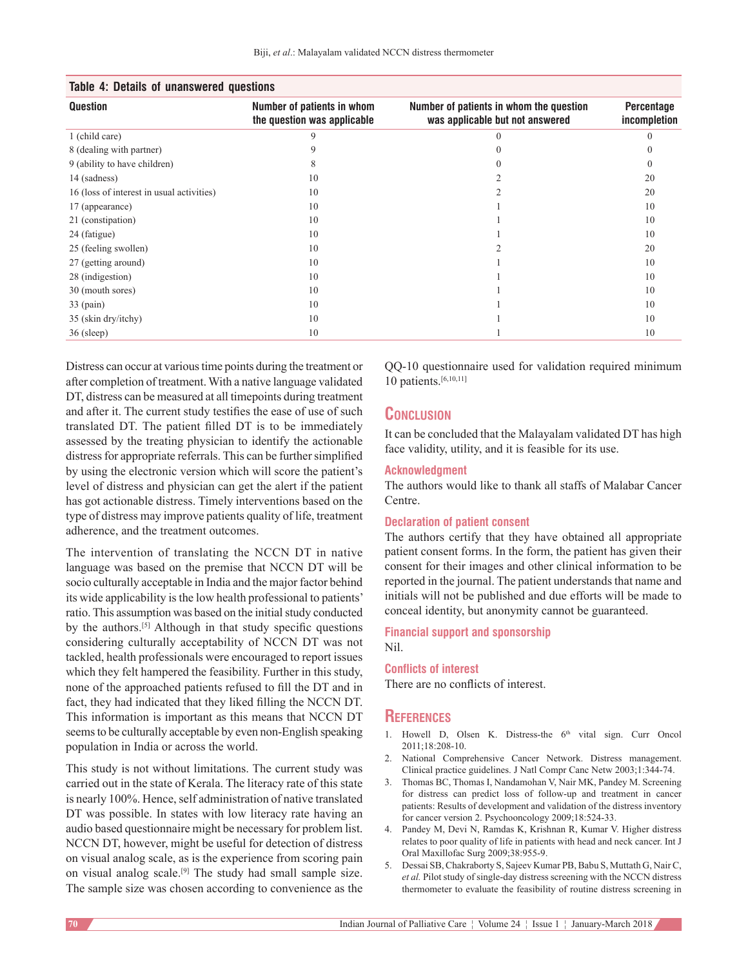| Table 4: Details of unanswered questions  |                                                           |                                                                            |                            |  |  |
|-------------------------------------------|-----------------------------------------------------------|----------------------------------------------------------------------------|----------------------------|--|--|
| Question                                  | Number of patients in whom<br>the question was applicable | Number of patients in whom the question<br>was applicable but not answered | Percentage<br>incompletion |  |  |
| 1 (child care)                            | 9                                                         |                                                                            |                            |  |  |
| 8 (dealing with partner)                  | 9                                                         |                                                                            |                            |  |  |
| 9 (ability to have children)              | 8                                                         |                                                                            |                            |  |  |
| 14 (sadness)                              | 10                                                        |                                                                            | 20                         |  |  |
| 16 (loss of interest in usual activities) | 10                                                        |                                                                            | 20                         |  |  |
| 17 (appearance)                           | 10                                                        |                                                                            | 10                         |  |  |
| 21 (constipation)                         | 10                                                        |                                                                            | 10                         |  |  |
| 24 (fatigue)                              | 10                                                        |                                                                            | 10                         |  |  |
| 25 (feeling swollen)                      | 10                                                        |                                                                            | 20                         |  |  |
| 27 (getting around)                       | 10                                                        |                                                                            | 10                         |  |  |
| 28 (indigestion)                          | 10                                                        |                                                                            | 10                         |  |  |
| 30 (mouth sores)                          | 10                                                        |                                                                            | 10                         |  |  |
| $33$ (pain)                               | 10                                                        |                                                                            | 10                         |  |  |
| 35 (skin dry/itchy)                       | 10                                                        |                                                                            | 10                         |  |  |
| $36$ (sleep)                              | 10                                                        |                                                                            | 10                         |  |  |

#### **Table 4: Details of unanswered questions**

Distress can occur at various time points during the treatment or after completion of treatment. With a native language validated DT, distress can be measured at all timepoints during treatment and after it. The current study testifies the ease of use of such translated DT. The patient filled DT is to be immediately assessed by the treating physician to identify the actionable distress for appropriate referrals. This can be further simplified by using the electronic version which will score the patient's level of distress and physician can get the alert if the patient has got actionable distress. Timely interventions based on the type of distress may improve patients quality of life, treatment adherence, and the treatment outcomes.

The intervention of translating the NCCN DT in native language was based on the premise that NCCN DT will be socio culturally acceptable in India and the major factor behind its wide applicability is the low health professional to patients' ratio. This assumption was based on the initial study conducted by the authors.<sup>[5]</sup> Although in that study specific questions considering culturally acceptability of NCCN DT was not tackled, health professionals were encouraged to report issues which they felt hampered the feasibility. Further in this study, none of the approached patients refused to fill the DT and in fact, they had indicated that they liked filling the NCCN DT. This information is important as this means that NCCN DT seems to be culturally acceptable by even non-English speaking population in India or across the world.

This study is not without limitations. The current study was carried out in the state of Kerala. The literacy rate of this state is nearly 100%. Hence, self administration of native translated DT was possible. In states with low literacy rate having an audio based questionnaire might be necessary for problem list. NCCN DT, however, might be useful for detection of distress on visual analog scale, as is the experience from scoring pain on visual analog scale.[9] The study had small sample size. The sample size was chosen according to convenience as the

QQ‑10 questionnaire used for validation required minimum 10 patients.[6,10,11]

## **Conclusion**

It can be concluded that the Malayalam validated DT has high face validity, utility, and it is feasible for its use.

## **Acknowledgment**

The authors would like to thank all staffs of Malabar Cancer Centre.

#### **Declaration of patient consent**

The authors certify that they have obtained all appropriate patient consent forms. In the form, the patient has given their consent for their images and other clinical information to be reported in the journal. The patient understands that name and initials will not be published and due efforts will be made to conceal identity, but anonymity cannot be guaranteed.

**Financial support and sponsorship** Nil.

#### **Conflicts of interest**

There are no conflicts of interest.

# **References**

- 1. Howell D, Olsen K. Distress-the 6<sup>th</sup> vital sign. Curr Oncol 2011;18:208‑10.
- 2. National Comprehensive Cancer Network. Distress management. Clinical practice guidelines. J Natl Compr Canc Netw 2003;1:344‑74.
- 3. Thomas BC, Thomas I, Nandamohan V, Nair MK, Pandey M. Screening for distress can predict loss of follow‑up and treatment in cancer patients: Results of development and validation of the distress inventory for cancer version 2. Psychooncology 2009;18:524-33.
- 4. Pandey M, Devi N, Ramdas K, Krishnan R, Kumar V. Higher distress relates to poor quality of life in patients with head and neck cancer. Int J Oral Maxillofac Surg 2009;38:955‑9.
- 5. Dessai SB, Chakraborty S, Sajeev Kumar PB, Babu S, Muttath G, Nair C, *et al.* Pilot study of single‑day distress screening with the NCCN distress thermometer to evaluate the feasibility of routine distress screening in